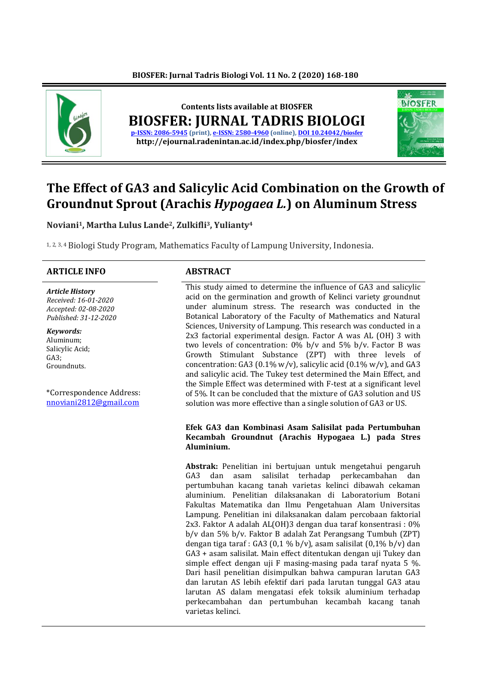

# **The Effect of GA3 and Salicylic Acid Combination on the Growth of Groundnut Sprout (Arachis** *Hypogaea L.***) on Aluminum Stress**

**Noviani1, Martha Lulus Lande2, Zulkifli3, Yulianty<sup>4</sup>**

1, 2, 3, 4Biologi Study Program, Mathematics Faculty of Lampung University, Indonesia.

#### **ARTICLE INFO ABSTRACT**

*Article History Received: 16-01-2020 Accepted: 02-08-2020 Published: 31-12-2020*

*Keywords:* Aluminum; Salicylic Acid; GA3; Groundnuts.

\*Correspondence Address: [nnoviani2812@gmail.com](mailto:nnoviani2812@gmail.com)

This study aimed to determine the influence of GA3 and salicylic acid on the germination and growth of Kelinci variety groundnut under aluminum stress. The research was conducted in the Botanical Laboratory of the Faculty of Mathematics and Natural Sciences, University of Lampung. This research was conducted in a 2x3 factorial experimental design. Factor A was AL (OH) 3 with two levels of concentration: 0% b/v and 5% b/v. Factor B was Growth Stimulant Substance (ZPT) with three levels of concentration: GA3 (0.1% w/v), salicylic acid (0.1% w/v), and GA3 and salicylic acid. The Tukey test determined the Main Effect, and the Simple Effect was determined with F-test at a significant level of 5%. It can be concluded that the mixture of GA3 solution and US solution was more effective than a single solution of GA3 or US.

#### **Efek GA3 dan Kombinasi Asam Salisilat pada Pertumbuhan Kecambah Groundnut (Arachis Hypogaea L.) pada Stres Aluminium.**

**Abstrak:** Penelitian ini bertujuan untuk mengetahui pengaruh GA3 dan asam salisilat terhadap perkecambahan dan pertumbuhan kacang tanah varietas kelinci dibawah cekaman aluminium. Penelitian dilaksanakan di Laboratorium Botani Fakultas Matematika dan Ilmu Pengetahuan Alam Universitas Lampung. Penelitian ini dilaksanakan dalam percobaan faktorial 2x3. Faktor A adalah AL(OH)3 dengan dua taraf konsentrasi : 0% b/v dan 5% b/v. Faktor B adalah Zat Perangsang Tumbuh (ZPT) dengan tiga taraf : GA3 (0,1 % b/v), asam salisilat (0,1% b/v) dan GA3 + asam salisilat. Main effect ditentukan dengan uji Tukey dan simple effect dengan uji F masing-masing pada taraf nyata 5 %. Dari hasil penelitian disimpulkan bahwa campuran larutan GA3 dan larutan AS lebih efektif dari pada larutan tunggal GA3 atau larutan AS dalam mengatasi efek toksik aluminium terhadap perkecambahan dan pertumbuhan kecambah kacang tanah varietas kelinci.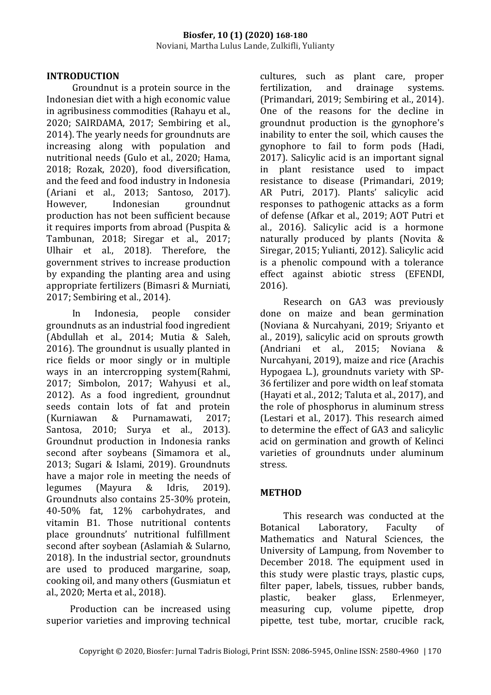# **INTRODUCTION**

Groundnut is a protein source in the Indonesian diet with a high economic value in agribusiness commodities (Rahayu et al., 2020; SAIRDAMA, 2017; Sembiring et al., 2014). The yearly needs for groundnuts are increasing along with population and nutritional needs (Gulo et al., 2020; Hama, 2018; Rozak, 2020), food diversification, and the feed and food industry in Indonesia (Ariani et al., 2013; Santoso, 2017). However, Indonesian groundnut production has not been sufficient because it requires imports from abroad (Puspita & Tambunan, 2018; Siregar et al., 2017; Ulhair et al., 2018). Therefore, the government strives to increase production by expanding the planting area and using appropriate fertilizers (Bimasri & Murniati, 2017; Sembiring et al., 2014).

In Indonesia, people consider groundnuts as an industrial food ingredient (Abdullah et al., 2014; Mutia & Saleh, 2016). The groundnut is usually planted in rice fields or moor singly or in multiple ways in an intercropping system(Rahmi, 2017; Simbolon, 2017; Wahyusi et al., 2012). As a food ingredient, groundnut seeds contain lots of fat and protein (Kurniawan & Purnamawati, 2017; Santosa, 2010; Surya et al., 2013). Groundnut production in Indonesia ranks second after soybeans (Simamora et al., 2013; Sugari & Islami, 2019). Groundnuts have a major role in meeting the needs of legumes (Mayura & Idris, 2019). Groundnuts also contains 25-30% protein, 40-50% fat, 12% carbohydrates, and vitamin B1. Those nutritional contents place groundnuts' nutritional fulfillment second after soybean (Aslamiah & Sularno, 2018). In the industrial sector, groundnuts are used to produced margarine, soap, cooking oil, and many others (Gusmiatun et al., 2020; Merta et al., 2018).

Production can be increased using superior varieties and improving technical cultures, such as plant care, proper fertilization, and drainage systems. (Primandari, 2019; Sembiring et al., 2014). One of the reasons for the decline in groundnut production is the gynophore's inability to enter the soil, which causes the gynophore to fail to form pods (Hadi, 2017). Salicylic acid is an important signal in plant resistance used to impact resistance to disease (Primandari, 2019; AR Putri, 2017). Plants' salicylic acid responses to pathogenic attacks as a form of defense (Afkar et al., 2019; AOT Putri et al., 2016). Salicylic acid is a hormone naturally produced by plants (Novita & Siregar, 2015; Yulianti, 2012). Salicylic acid is a phenolic compound with a tolerance effect against abiotic stress (EFENDI, 2016).

Research on GA3 was previously done on maize and bean germination (Noviana & Nurcahyani, 2019; Sriyanto et al., 2019), salicylic acid on sprouts growth (Andriani et al., 2015; Noviana & Nurcahyani, 2019), maize and rice (Arachis Hypogaea L.), groundnuts variety with SP-36 fertilizer and pore width on leaf stomata (Hayati et al., 2012; Taluta et al., 2017), and the role of phosphorus in aluminum stress (Lestari et al., 2017). This research aimed to determine the effect of GA3 and salicylic acid on germination and growth of Kelinci varieties of groundnuts under aluminum stress.

# **METHOD**

This research was conducted at the Botanical Laboratory, Faculty of Mathematics and Natural Sciences, the University of Lampung, from November to December 2018. The equipment used in this study were plastic trays, plastic cups, filter paper, labels, tissues, rubber bands, plastic, beaker glass, Erlenmeyer, measuring cup, volume pipette, drop pipette, test tube, mortar, crucible rack,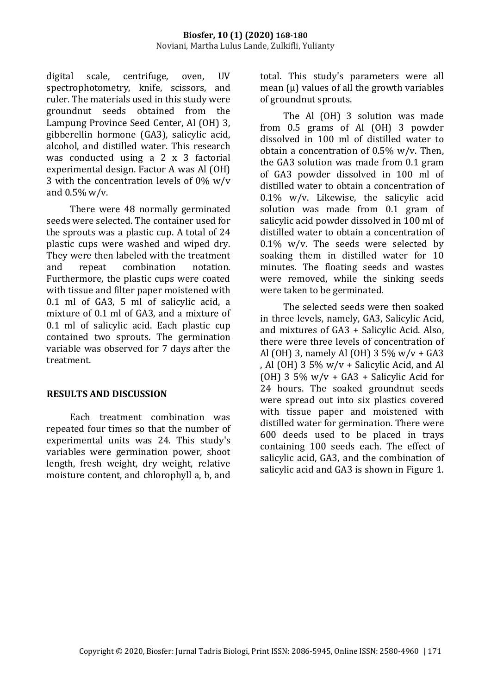digital scale, centrifuge, oven, UV spectrophotometry, knife, scissors, and ruler. The materials used in this study were groundnut seeds obtained from the Lampung Province Seed Center, Al (OH) 3, gibberellin hormone (GA3), salicylic acid, alcohol, and distilled water. This research was conducted using a 2 x 3 factorial experimental design. Factor A was Al (OH) 3 with the concentration levels of 0% w/v and 0.5% w/v.

There were 48 normally germinated seeds were selected. The container used for the sprouts was a plastic cup. A total of 24 plastic cups were washed and wiped dry. They were then labeled with the treatment and repeat combination notation. Furthermore, the plastic cups were coated with tissue and filter paper moistened with 0.1 ml of GA3, 5 ml of salicylic acid, a mixture of 0.1 ml of GA3, and a mixture of 0.1 ml of salicylic acid. Each plastic cup contained two sprouts. The germination variable was observed for 7 days after the treatment.

## **RESULTS AND DISCUSSION**

Each treatment combination was repeated four times so that the number of experimental units was 24. This study's variables were germination power, shoot length, fresh weight, dry weight, relative moisture content, and chlorophyll a, b, and

total. This study's parameters were all mean (u) values of all the growth variables of groundnut sprouts.

The Al (OH) 3 solution was made from 0.5 grams of Al (OH) 3 powder dissolved in 100 ml of distilled water to obtain a concentration of 0.5% w/v. Then, the GA3 solution was made from 0.1 gram of GA3 powder dissolved in 100 ml of distilled water to obtain a concentration of 0.1% w/v. Likewise, the salicylic acid solution was made from 0.1 gram of salicylic acid powder dissolved in 100 ml of distilled water to obtain a concentration of  $0.1\%$  w/v. The seeds were selected by soaking them in distilled water for 10 minutes. The floating seeds and wastes were removed, while the sinking seeds were taken to be germinated.

The selected seeds were then soaked in three levels, namely, GA3, Salicylic Acid, and mixtures of GA3 + Salicylic Acid. Also, there were three levels of concentration of Al (OH) 3, namely Al (OH) 3 5% w/v + GA3 , Al (OH) 3 5% w/v + Salicylic Acid, and Al (OH) 3 5%  $w/v + GA3 + Salicvlic$  Acid for 24 hours. The soaked groundnut seeds were spread out into six plastics covered with tissue paper and moistened with distilled water for germination. There were 600 deeds used to be placed in trays containing 100 seeds each. The effect of salicylic acid, GA3, and the combination of salicylic acid and GA3 is shown in Figure 1.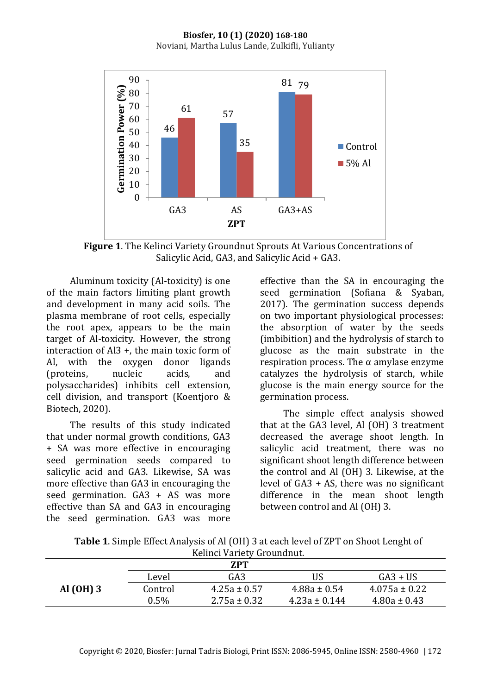#### **Biosfer, 10 (1) (2020) 168-180** Noviani, Martha Lulus Lande, Zulkifli, Yulianty



**Figure 1**. The Kelinci Variety Groundnut Sprouts At Various Concentrations of Salicylic Acid, GA3, and Salicylic Acid + GA3.

Aluminum toxicity (Al-toxicity) is one of the main factors limiting plant growth and development in many acid soils. The plasma membrane of root cells, especially the root apex, appears to be the main target of Al-toxicity. However, the strong interaction of Al3 +, the main toxic form of Al, with the oxygen donor ligands (proteins, nucleic acids, and polysaccharides) inhibits cell extension, cell division, and transport (Koentjoro & Biotech, 2020).

The results of this study indicated that under normal growth conditions, GA3 + SA was more effective in encouraging seed germination seeds compared to salicylic acid and GA3. Likewise, SA was more effective than GA3 in encouraging the seed germination. GA3 + AS was more effective than SA and GA3 in encouraging the seed germination. GA3 was more

effective than the SA in encouraging the seed germination (Sofiana & Syaban, 2017). The germination success depends on two important physiological processes: the absorption of water by the seeds (imbibition) and the hydrolysis of starch to glucose as the main substrate in the respiration process. The α amylase enzyme catalyzes the hydrolysis of starch, while glucose is the main energy source for the germination process.

The simple effect analysis showed that at the GA3 level, Al (OH) 3 treatment decreased the average shoot length. In salicylic acid treatment, there was no significant shoot length difference between the control and Al (OH) 3. Likewise, at the level of GA3 + AS, there was no significant difference in the mean shoot length between control and Al (OH) 3.

| Table 1. Simple Effect Analysis of Al (OH) 3 at each level of ZPT on Shoot Lenght of |
|--------------------------------------------------------------------------------------|
| Kelinci Variety Groundnut.                                                           |

|           |         | <b>ZPT</b>       |                   |                   |
|-----------|---------|------------------|-------------------|-------------------|
|           | Level   | GA3              | US                | $G_A3 + US$       |
| Al (OH) 3 | Control | $4.25a \pm 0.57$ | $4.88a \pm 0.54$  | $4.075a \pm 0.22$ |
|           | 0.5%    | $2.75a \pm 0.32$ | $4.23a \pm 0.144$ | $4.80a \pm 0.43$  |
|           |         |                  |                   |                   |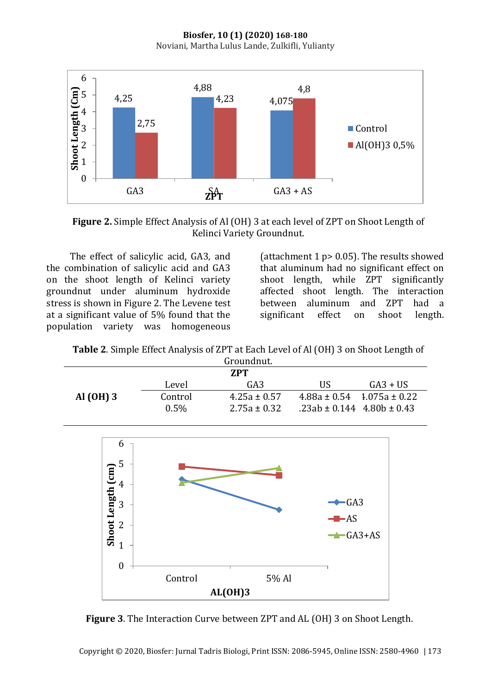**Biosfer, 10 (1) (2020) 168-180** Noviani, Martha Lulus Lande, Zulkifli, Yulianty



**Figure 2.** Simple Effect Analysis of Al (OH) 3 at each level of ZPT on Shoot Length of Kelinci Variety Groundnut.

The effect of salicylic acid, GA3, and the combination of salicylic acid and GA3 on the shoot length of Kelinci variety groundnut under aluminum hydroxide stress is shown in Figure 2. The Levene test at a significant value of 5% found that the population variety was homogeneous

(attachment 1  $p$  > 0.05). The results showed that aluminum had no significant effect on shoot length, while ZPT significantly affected shoot length. The interaction between aluminum and ZPT had a significant effect on shoot length.

**Table 2**. Simple Effect Analysis of ZPT at Each Level of Al (OH) 3 on Shoot Length of

| Groundnut.  |         |                  |                                    |             |
|-------------|---------|------------------|------------------------------------|-------------|
| <b>7.PT</b> |         |                  |                                    |             |
|             | Level   | GA <sub>3</sub>  | US                                 | $G_A3 + US$ |
| Al (OH) 3   | Control | $4.25a \pm 0.57$ | $4.88a \pm 0.54$ $1.075a \pm 0.22$ |             |
|             | $0.5\%$ | $2.75a \pm 0.32$ | $.23ab \pm 0.144$ 4.80b $\pm 0.43$ |             |



**Figure 3**. The Interaction Curve between ZPT and AL (OH) 3 on Shoot Length.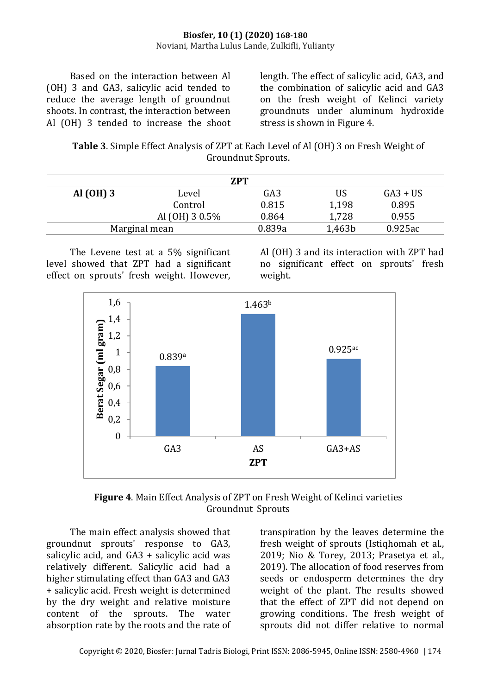Based on the interaction between Al (OH) 3 and GA3, salicylic acid tended to reduce the average length of groundnut shoots. In contrast, the interaction between Al (OH) 3 tended to increase the shoot length. The effect of salicylic acid, GA3, and the combination of salicylic acid and GA3 on the fresh weight of Kelinci variety groundnuts under aluminum hydroxide stress is shown in Figure 4.

**Table 3**. Simple Effect Analysis of ZPT at Each Level of Al (OH) 3 on Fresh Weight of Groundnut Sprouts.

| <b>ZPT</b>  |                |        |        |            |
|-------------|----------------|--------|--------|------------|
| Al $(OH)$ 3 | Level          | GA3    | US     | $GA3 + US$ |
|             | Control        | 0.815  | 1,198  | 0.895      |
|             | Al (OH) 3 0.5% | 0.864  | 1,728  | 0.955      |
|             | Marginal mean  | 0.839a | 1,463b | 0.925ac    |

The Levene test at a 5% significant level showed that ZPT had a significant effect on sprouts' fresh weight. However,

Al (OH) 3 and its interaction with ZPT had no significant effect on sprouts' fresh weight.



**Figure 4**. Main Effect Analysis of ZPT on Fresh Weight of Kelinci varieties Groundnut Sprouts

The main effect analysis showed that groundnut sprouts' response to GA3, salicylic acid, and GA3 + salicylic acid was relatively different. Salicylic acid had a higher stimulating effect than GA3 and GA3 + salicylic acid. Fresh weight is determined by the dry weight and relative moisture content of the sprouts. The water absorption rate by the roots and the rate of

transpiration by the leaves determine the fresh weight of sprouts (Istiqhomah et al., 2019; Nio & Torey, 2013; Prasetya et al., 2019). The allocation of food reserves from seeds or endosperm determines the dry weight of the plant. The results showed that the effect of ZPT did not depend on growing conditions. The fresh weight of sprouts did not differ relative to normal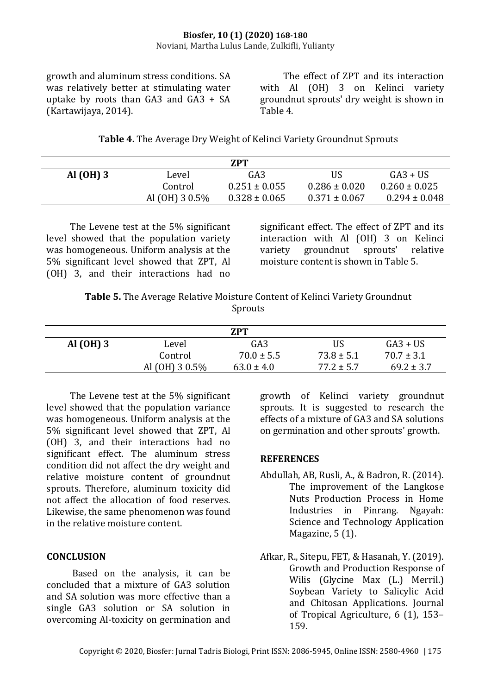#### **Biosfer, 10 (1) (2020) 168-180** Noviani, Martha Lulus Lande, Zulkifli, Yulianty

growth and aluminum stress conditions. SA was relatively better at stimulating water uptake by roots than GA3 and GA3 + SA (Kartawijaya, 2014).

The effect of ZPT and its interaction with Al (OH) 3 on Kelinci variety groundnut sprouts' dry weight is shown in Table 4.

**Table 4.** The Average Dry Weight of Kelinci Variety Groundnut Sprouts

| 7.PT      |                  |                   |                   |                   |
|-----------|------------------|-------------------|-------------------|-------------------|
| Al (OH) 3 | Level            | GA <sub>3</sub>   | US                | $G_A3 + US$       |
|           | Control          | $0.251 \pm 0.055$ | $0.286 \pm 0.020$ | $0.260 \pm 0.025$ |
|           | Al $(OH)$ 3 0.5% | $0.328 \pm 0.065$ | $0.371 \pm 0.067$ | $0.294 \pm 0.048$ |

The Levene test at the 5% significant level showed that the population variety was homogeneous. Uniform analysis at the 5% significant level showed that ZPT, Al (OH) 3, and their interactions had no significant effect. The effect of ZPT and its interaction with Al (OH) 3 on Kelinci variety groundnut sprouts' relative moisture content is shown in Table 5.

**Table 5.** The Average Relative Moisture Content of Kelinci Variety Groundnut Sprouts

| <b>ZPT</b> |                |                 |                |                |  |
|------------|----------------|-----------------|----------------|----------------|--|
| Al (OH) 3  | Level          | GA <sub>3</sub> | US             | $G_A3 + US$    |  |
|            | Control        | $70.0 \pm 5.5$  | $73.8 \pm 5.1$ | $70.7 \pm 3.1$ |  |
|            | Al (OH) 3 0.5% | $63.0 \pm 4.0$  | $77.2 \pm 5.7$ | $69.2 \pm 3.7$ |  |

The Levene test at the 5% significant level showed that the population variance was homogeneous. Uniform analysis at the 5% significant level showed that ZPT, Al (OH) 3, and their interactions had no significant effect. The aluminum stress condition did not affect the dry weight and relative moisture content of groundnut sprouts. Therefore, aluminum toxicity did not affect the allocation of food reserves. Likewise, the same phenomenon was found in the relative moisture content.

## **CONCLUSION**

Based on the analysis, it can be concluded that a mixture of GA3 solution and SA solution was more effective than a single GA3 solution or SA solution in overcoming Al-toxicity on germination and growth of Kelinci variety groundnut sprouts. It is suggested to research the effects of a mixture of GA3 and SA solutions on germination and other sprouts' growth.

## **REFERENCES**

- Abdullah, AB, Rusli, A., & Badron, R. (2014). The improvement of the Langkose Nuts Production Process in Home Industries in Pinrang. Ngayah: Science and Technology Application Magazine, 5 (1).
- Afkar, R., Sitepu, FET, & Hasanah, Y. (2019). Growth and Production Response of Wilis (Glycine Max (L.) Merril.) Soybean Variety to Salicylic Acid and Chitosan Applications. Journal of Tropical Agriculture, 6 (1), 153– 159.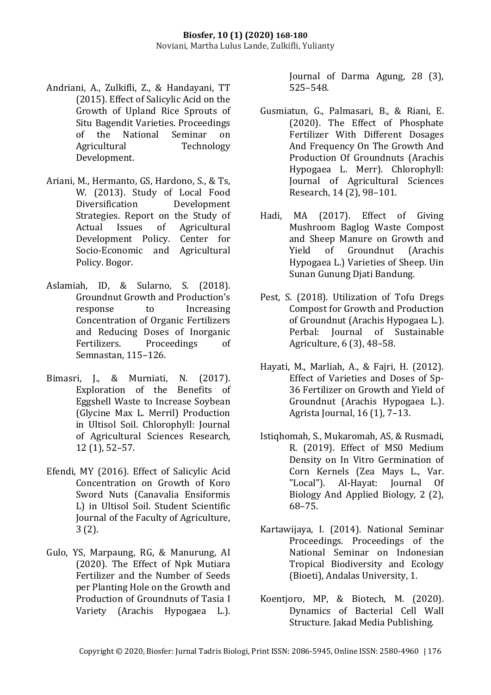- Andriani, A., Zulkifli, Z., & Handayani, TT (2015). Effect of Salicylic Acid on the Growth of Upland Rice Sprouts of Situ Bagendit Varieties. Proceedings of the National Seminar on Agricultural Technology Development.
- Ariani, M., Hermanto, GS, Hardono, S., & Ts, W. (2013). Study of Local Food Diversification Development Strategies. Report on the Study of Actual Issues of Agricultural Development Policy. Center for Socio-Economic and Agricultural Policy. Bogor.
- Aslamiah, ID, & Sularno, S. (2018). Groundnut Growth and Production's response to Increasing Concentration of Organic Fertilizers and Reducing Doses of Inorganic Fertilizers. Proceedings of Semnastan, 115–126.
- Bimasri, J., & Murniati, N. (2017). Exploration of the Benefits of Eggshell Waste to Increase Soybean (Glycine Max L. Merril) Production in Ultisol Soil. Chlorophyll: Journal of Agricultural Sciences Research, 12 (1), 52–57.
- Efendi, MY (2016). Effect of Salicylic Acid Concentration on Growth of Koro Sword Nuts (Canavalia Ensiformis L) in Ultisol Soil. Student Scientific Journal of the Faculty of Agriculture, 3 (2).
- Gulo, YS, Marpaung, RG, & Manurung, AI (2020). The Effect of Npk Mutiara Fertilizer and the Number of Seeds per Planting Hole on the Growth and Production of Groundnuts of Tasia I Variety (Arachis Hypogaea L.).

Journal of Darma Agung, 28 (3), 525–548.

- Gusmiatun, G., Palmasari, B., & Riani, E. (2020). The Effect of Phosphate Fertilizer With Different Dosages And Frequency On The Growth And Production Of Groundnuts (Arachis Hypogaea L. Merr). Chlorophyll: Journal of Agricultural Sciences Research, 14 (2), 98–101.
- Hadi, MA (2017). Effect of Giving Mushroom Baglog Waste Compost and Sheep Manure on Growth and Yield of Groundnut (Arachis Hypogaea L.) Varieties of Sheep. Uin Sunan Gunung Djati Bandung.
- Pest, S. (2018). Utilization of Tofu Dregs Compost for Growth and Production of Groundnut (Arachis Hypogaea L.). Perbal: Journal of Sustainable Agriculture, 6 (3), 48–58.
- Hayati, M., Marliah, A., & Fajri, H. (2012). Effect of Varieties and Doses of Sp-36 Fertilizer on Growth and Yield of Groundnut (Arachis Hypogaea L.). Agrista Journal, 16 (1), 7–13.
- Istiqhomah, S., Mukaromah, AS, & Rusmadi, R. (2019). Effect of MS0 Medium Density on In Vitro Germination of Corn Kernels (Zea Mays L., Var. "Local"). Al-Hayat: Journal Of Biology And Applied Biology, 2 (2), 68–75.
- Kartawijaya, I. (2014). National Seminar Proceedings. Proceedings of the National Seminar on Indonesian Tropical Biodiversity and Ecology (Bioeti), Andalas University, 1.
- Koentjoro, MP, & Biotech, M. (2020). Dynamics of Bacterial Cell Wall Structure. Jakad Media Publishing.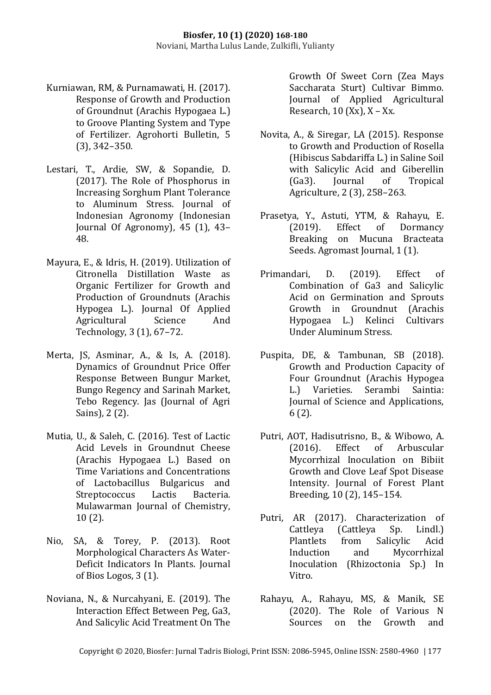- Kurniawan, RM, & Purnamawati, H. (2017). Response of Growth and Production of Groundnut (Arachis Hypogaea L.) to Groove Planting System and Type of Fertilizer. Agrohorti Bulletin, 5 (3), 342–350.
- Lestari, T., Ardie, SW, & Sopandie, D. (2017). The Role of Phosphorus in Increasing Sorghum Plant Tolerance to Aluminum Stress. Journal of Indonesian Agronomy (Indonesian Journal Of Agronomy), 45 (1), 43– 48.
- Mayura, E., & Idris, H. (2019). Utilization of Citronella Distillation Waste as Organic Fertilizer for Growth and Production of Groundnuts (Arachis Hypogea L.). Journal Of Applied Agricultural Science And Technology, 3 (1), 67–72.
- Merta, JS, Asminar, A., & Is, A. (2018). Dynamics of Groundnut Price Offer Response Between Bungur Market, Bungo Regency and Sarinah Market, Tebo Regency. Jas (Journal of Agri Sains), 2 (2).
- Mutia, U., & Saleh, C. (2016). Test of Lactic Acid Levels in Groundnut Cheese (Arachis Hypogaea L.) Based on Time Variations and Concentrations of Lactobacillus Bulgaricus and Streptococcus Lactis Bacteria. Mulawarman Journal of Chemistry, 10 (2).
- Nio, SA, & Torey, P. (2013). Root Morphological Characters As Water-Deficit Indicators In Plants. Journal of Bios Logos, 3 (1).
- Noviana, N., & Nurcahyani, E. (2019). The Interaction Effect Between Peg, Ga3, And Salicylic Acid Treatment On The

Growth Of Sweet Corn (Zea Mays Saccharata Sturt) Cultivar Bimmo. Journal of Applied Agricultural Research,  $10$  (Xx),  $X - Xx$ .

- Novita, A., & Siregar, LA (2015). Response to Growth and Production of Rosella (Hibiscus Sabdariffa L.) in Saline Soil with Salicylic Acid and Giberellin (Ga3). Journal of Tropical Agriculture, 2 (3), 258–263.
- Prasetya, Y., Astuti, YTM, & Rahayu, E. (2019). Effect of Dormancy Breaking on Mucuna Bracteata Seeds. Agromast Journal, 1 (1).
- Primandari, D. (2019). Effect of Combination of Ga3 and Salicylic Acid on Germination and Sprouts Growth in Groundnut (Arachis Hypogaea L.) Kelinci Cultivars Under Aluminum Stress.
- Puspita, DE, & Tambunan, SB (2018). Growth and Production Capacity of Four Groundnut (Arachis Hypogea L.) Varieties. Serambi Saintia: Journal of Science and Applications, 6 (2).
- Putri, AOT, Hadisutrisno, B., & Wibowo, A. (2016). Effect of Arbuscular Mycorrhizal Inoculation on Bibiit Growth and Clove Leaf Spot Disease Intensity. Journal of Forest Plant Breeding, 10 (2), 145–154.
- Putri, AR (2017). Characterization of Cattleya (Cattleya Sp. Lindl.) Plantlets from Salicylic Acid Induction and Mycorrhizal Inoculation (Rhizoctonia Sp.) In Vitro.
- Rahayu, A., Rahayu, MS, & Manik, SE (2020). The Role of Various N Sources on the Growth and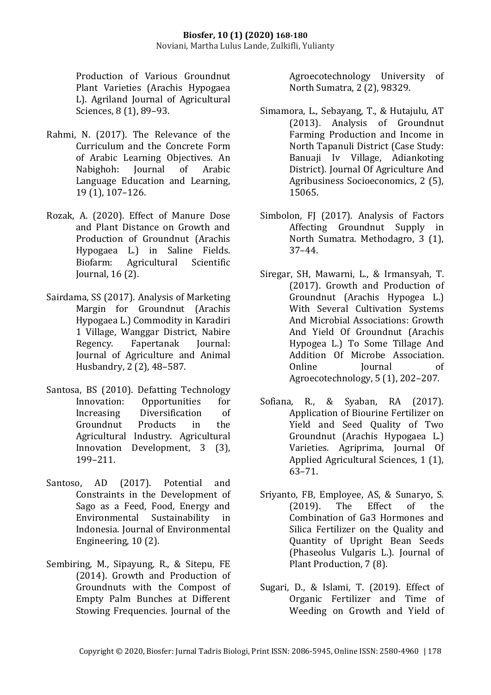Production of Various Groundnut Plant Varieties (Arachis Hypogaea L). Agriland Journal of Agricultural Sciences, 8 (1), 89–93.

- Rahmi, N. (2017). The Relevance of the Curriculum and the Concrete Form of Arabic Learning Objectives. An Nabighoh: Journal of Arabic Language Education and Learning, 19 (1), 107–126.
- Rozak, A. (2020). Effect of Manure Dose and Plant Distance on Growth and Production of Groundnut (Arachis Hypogaea L.) in Saline Fields. Biofarm: Agricultural Scientific Journal, 16 (2).
- Sairdama, SS (2017). Analysis of Marketing Margin for Groundnut (Arachis Hypogaea L.) Commodity in Karadiri 1 Village, Wanggar District, Nabire Regency. Fapertanak Journal: Journal of Agriculture and Animal Husbandry, 2 (2), 48–587.
- Santosa, BS (2010). Defatting Technology Innovation: Opportunities for Increasing Diversification of Groundnut Products in the Agricultural Industry. Agricultural Innovation Development, 3 (3), 199–211.
- Santoso, AD (2017). Potential and Constraints in the Development of Sago as a Feed, Food, Energy and Environmental Sustainability in Indonesia. Journal of Environmental Engineering, 10 (2).
- Sembiring, M., Sipayung, R., & Sitepu, FE (2014). Growth and Production of Groundnuts with the Compost of Empty Palm Bunches at Different Stowing Frequencies. Journal of the

Agroecotechnology University of North Sumatra, 2 (2), 98329.

- Simamora, L., Sebayang, T., & Hutajulu, AT (2013). Analysis of Groundnut Farming Production and Income in North Tapanuli District (Case Study: Banuaji Iv Village, Adiankoting District). Journal Of Agriculture And Agribusiness Socioeconomics, 2 (5), 15065.
- Simbolon, FJ (2017). Analysis of Factors Affecting Groundnut Supply in North Sumatra. Methodagro, 3 (1), 37–44.
- Siregar, SH, Mawarni, L., & Irmansyah, T. (2017). Growth and Production of Groundnut (Arachis Hypogea L.) With Several Cultivation Systems And Microbial Associations: Growth And Yield Of Groundnut (Arachis Hypogea L.) To Some Tillage And Addition Of Microbe Association. Online Iournal of Agroecotechnology, 5 (1), 202–207.
- Sofiana, R., & Syaban, RA (2017). Application of Biourine Fertilizer on Yield and Seed Quality of Two Groundnut (Arachis Hypogaea L.) Varieties. Agriprima, Journal Of Applied Agricultural Sciences, 1 (1), 63–71.
- Sriyanto, FB, Employee, AS, & Sunaryo, S. (2019). The Effect of the Combination of Ga3 Hormones and Silica Fertilizer on the Quality and Quantity of Upright Bean Seeds (Phaseolus Vulgaris L.). Journal of Plant Production, 7 (8).
- Sugari, D., & Islami, T. (2019). Effect of Organic Fertilizer and Time of Weeding on Growth and Yield of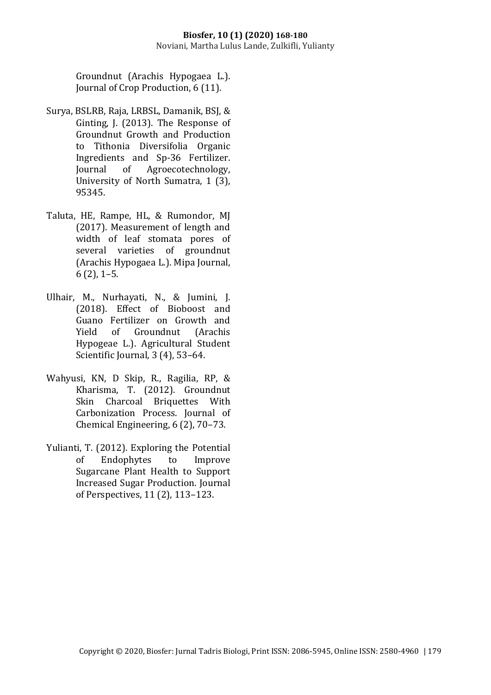Groundnut (Arachis Hypogaea L.). Journal of Crop Production, 6 (11).

- Surya, BSLRB, Raja, LRBSL, Damanik, BSJ, & Ginting, J. (2013). The Response of Groundnut Growth and Production to Tithonia Diversifolia Organic Ingredients and Sp-36 Fertilizer. Journal of Agroecotechnology, University of North Sumatra, 1 (3), 95345.
- Taluta, HE, Rampe, HL, & Rumondor, MJ (2017). Measurement of length and width of leaf stomata pores of several varieties of groundnut (Arachis Hypogaea L.). Mipa Journal, 6 (2), 1–5.
- Ulhair, M., Nurhayati, N., & Jumini, J. (2018). Effect of Bioboost and Guano Fertilizer on Growth and Yield of Groundnut (Arachis Hypogeae L.). Agricultural Student Scientific Journal, 3 (4), 53–64.
- Wahyusi, KN, D Skip, R., Ragilia, RP, & Kharisma, T. (2012). Groundnut Skin Charcoal Briquettes With Carbonization Process. Journal of Chemical Engineering, 6 (2), 70–73.
- Yulianti, T. (2012). Exploring the Potential of Endophytes to Improve Sugarcane Plant Health to Support Increased Sugar Production. Journal of Perspectives, 11 (2), 113–123.